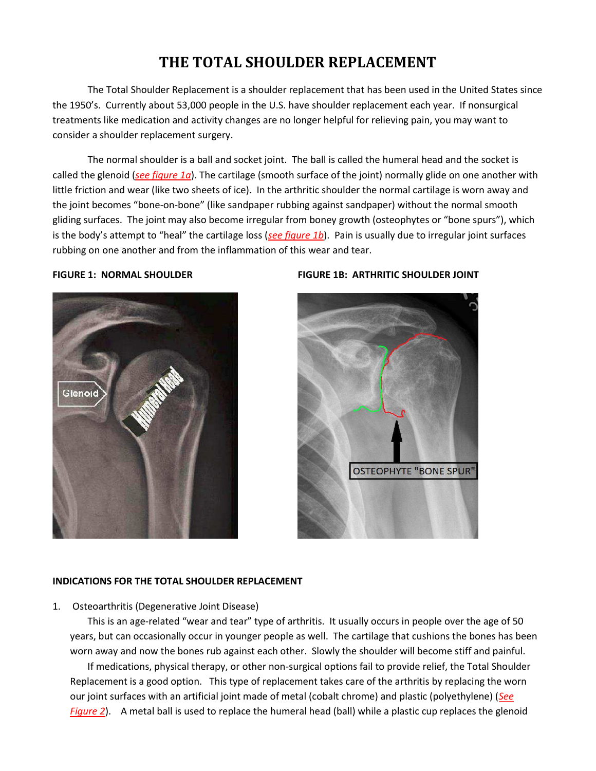# THE TOTAL SHOULDER REPLACEMENT

The Total Shoulder Replacement is a shoulder replacement that has been used in the United States since the 1950's. Currently about 53,000 people in the U.S. have shoulder replacement each year. If nonsurgical treatments like medication and activity changes are no longer helpful for relieving pain, you may want to consider a shoulder replacement surgery.

The normal shoulder is a ball and socket joint. The ball is called the humeral head and the socket is called the glenoid (see figure 1a). The cartilage (smooth surface of the joint) normally glide on one another with little friction and wear (like two sheets of ice). In the arthritic shoulder the normal cartilage is worn away and the joint becomes "bone-on-bone" (like sandpaper rubbing against sandpaper) without the normal smooth gliding surfaces. The joint may also become irregular from boney growth (osteophytes or "bone spurs"), which is the body's attempt to "heal" the cartilage loss (see figure 1b). Pain is usually due to irregular joint surfaces rubbing on one another and from the inflammation of this wear and tear.

#### **FIGURE 1: NORMAL SHOULDER**



### **FIGURE 1B: ARTHRITIC SHOULDER JOINT**



#### **INDICATIONS FOR THE TOTAL SHOULDER REPLACEMENT**

1. Osteoarthritis (Degenerative Joint Disease)

This is an age-related "wear and tear" type of arthritis. It usually occurs in people over the age of 50 years, but can occasionally occur in younger people as well. The cartilage that cushions the bones has been worn away and now the bones rub against each other. Slowly the shoulder will become stiff and painful.

If medications, physical therapy, or other non-surgical options fail to provide relief, the Total Shoulder Replacement is a good option. This type of replacement takes care of the arthritis by replacing the worn our joint surfaces with an artificial joint made of metal (cobalt chrome) and plastic (polyethylene) (See Figure 2). A metal ball is used to replace the humeral head (ball) while a plastic cup replaces the glenoid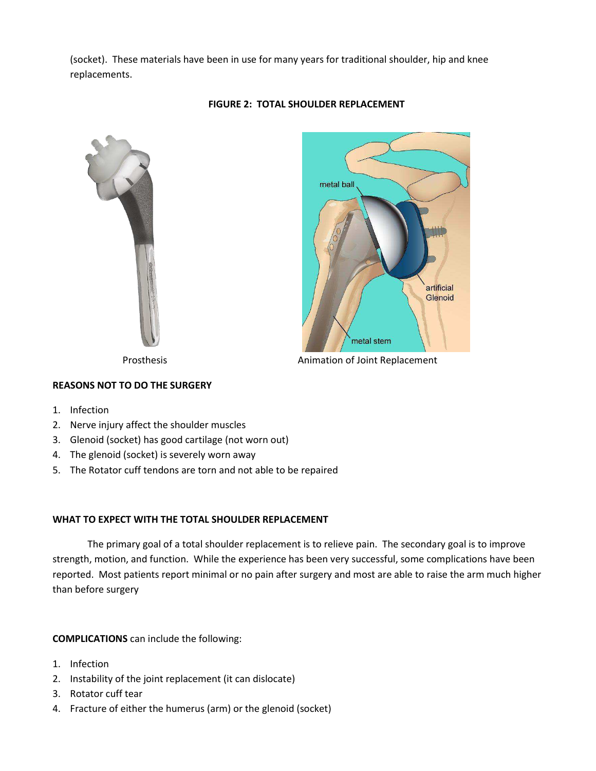(socket). These materials have been in use for many years for traditional shoulder, hip and knee replacements.



# **FIGURE 2: TOTAL SHOULDER REPLACEMENT**



# **REASONS NOT TO DO THE SURGERY**

- 1. Infection
- 2. Nerve injury affect the shoulder muscles
- 3. Glenoid (socket) has good cartilage (not worn out)
- 4. The glenoid (socket) is severely worn away
- 5. The Rotator cuff tendons are torn and not able to be repaired

# **WHAT TO EXPECT WITH THE TOTAL SHOULDER REPLACEMENT**

The primary goal of a total shoulder replacement is to relieve pain. The secondary goal is to improve strength, motion, and function. While the experience has been very successful, some complications have been reported. Most patients report minimal or no pain after surgery and most are able to raise the arm much higher than before surgery

## **COMPLICATIONS** can include the following:

- 1. Infection
- 2. Instability of the joint replacement (it can dislocate)
- 3. Rotator cuff tear
- 4. Fracture of either the humerus (arm) or the glenoid (socket)